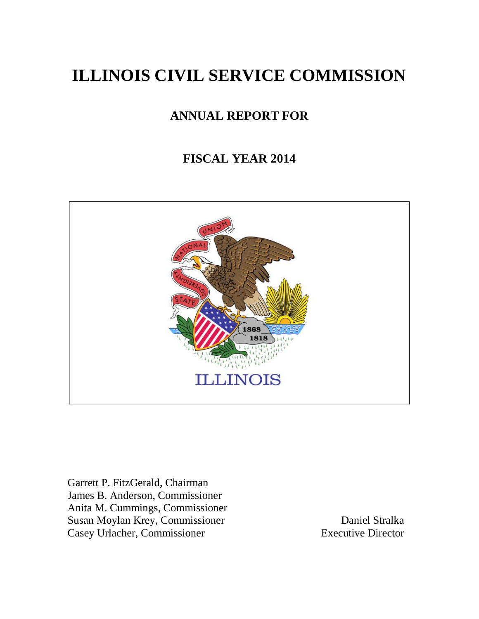# **ILLINOIS CIVIL SERVICE COMMISSION**

# **ANNUAL REPORT FOR**

# **FISCAL YEAR 2014**



Garrett P. FitzGerald, Chairman James B. Anderson, Commissioner Anita M. Cummings, Commissioner Susan Moylan Krey, Commissioner Daniel Stralka Casey Urlacher, Commissioner Executive Director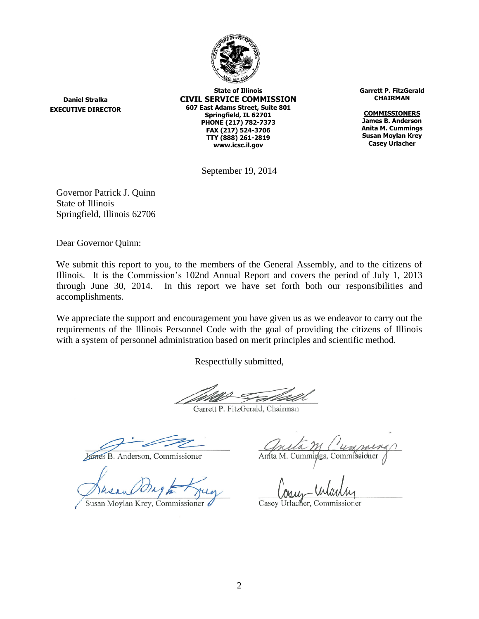

**Daniel Stralka EXECUTIVE DIRECTOR**

**State of Illinois CIVIL SERVICE COMMISSION 607 East Adams Street, Suite 801 Springfield, IL 62701 PHONE (217) 782-7373 FAX (217) 524-3706 TTY (888) 261-2819 www.icsc.il.gov**

**Garrett P. FitzGerald CHAIRMAN**

**COMMISSIONERS James B. Anderson Anita M. Cummings Susan Moylan Krey Casey Urlacher**

September 19, 2014

Governor Patrick J. Quinn State of Illinois Springfield, Illinois 62706

Dear Governor Quinn:

We submit this report to you, to the members of the General Assembly, and to the citizens of Illinois. It is the Commission's 102nd Annual Report and covers the period of July 1, 2013 through June 30, 2014. In this report we have set forth both our responsibilities and accomplishments.

We appreciate the support and encouragement you have given us as we endeavor to carry out the requirements of the Illinois Personnel Code with the goal of providing the citizens of Illinois with a system of personnel administration based on merit principles and scientific method.

Respectfully submitted,

Garrett P. FitzGerald, Chairman

James B. Anderson, Commissioner

Susan Moylan Krey, Commissioner 6

Amta M. Cummings, Commissioner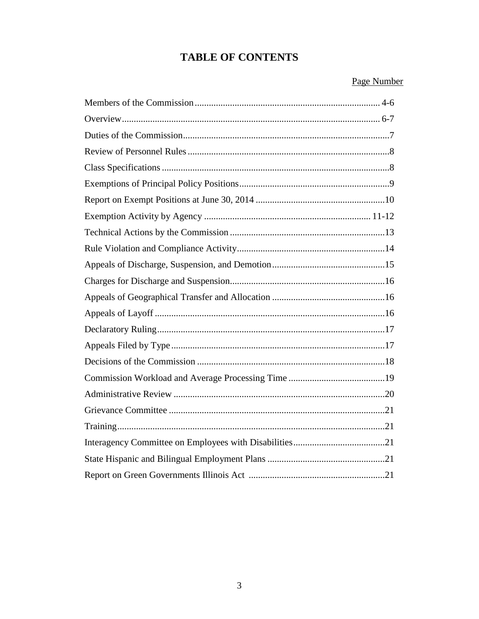## **TABLE OF CONTENTS**

## Page Number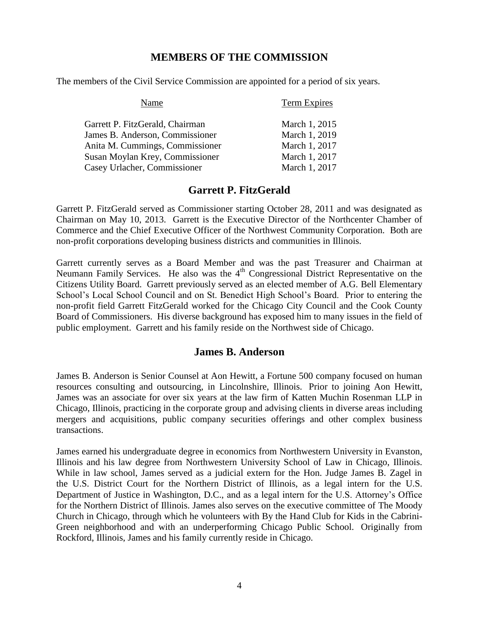### **MEMBERS OF THE COMMISSION**

The members of the Civil Service Commission are appointed for a period of six years.

| Name                            | Term Expires  |
|---------------------------------|---------------|
| Garrett P. FitzGerald, Chairman | March 1, 2015 |
| James B. Anderson, Commissioner | March 1, 2019 |
| Anita M. Cummings, Commissioner | March 1, 2017 |
| Susan Moylan Krey, Commissioner | March 1, 2017 |
| Casey Urlacher, Commissioner    | March 1, 2017 |

## **Garrett P. FitzGerald**

Garrett P. FitzGerald served as Commissioner starting October 28, 2011 and was designated as Chairman on May 10, 2013. Garrett is the Executive Director of the Northcenter Chamber of Commerce and the Chief Executive Officer of the Northwest Community Corporation. Both are non-profit corporations developing business districts and communities in Illinois.

Garrett currently serves as a Board Member and was the past Treasurer and Chairman at Neumann Family Services. He also was the 4<sup>th</sup> Congressional District Representative on the Citizens Utility Board. Garrett previously served as an elected member of A.G. Bell Elementary School's Local School Council and on St. Benedict High School's Board. Prior to entering the non-profit field Garrett FitzGerald worked for the Chicago City Council and the Cook County Board of Commissioners. His diverse background has exposed him to many issues in the field of public employment. Garrett and his family reside on the Northwest side of Chicago.

#### **James B. Anderson**

James B. Anderson is Senior Counsel at Aon Hewitt, a Fortune 500 company focused on human resources consulting and outsourcing, in Lincolnshire, Illinois. Prior to joining Aon Hewitt, James was an associate for over six years at the law firm of Katten Muchin Rosenman LLP in Chicago, Illinois, practicing in the corporate group and advising clients in diverse areas including mergers and acquisitions, public company securities offerings and other complex business transactions.

James earned his undergraduate degree in economics from Northwestern University in Evanston, Illinois and his law degree from Northwestern University School of Law in Chicago, Illinois. While in law school, James served as a judicial extern for the Hon. Judge James B. Zagel in the U.S. District Court for the Northern District of Illinois, as a legal intern for the U.S. Department of Justice in Washington, D.C., and as a legal intern for the U.S. Attorney's Office for the Northern District of Illinois. James also serves on the executive committee of The Moody Church in Chicago, through which he volunteers with By the Hand Club for Kids in the Cabrini-Green neighborhood and with an underperforming Chicago Public School. Originally from Rockford, Illinois, James and his family currently reside in Chicago.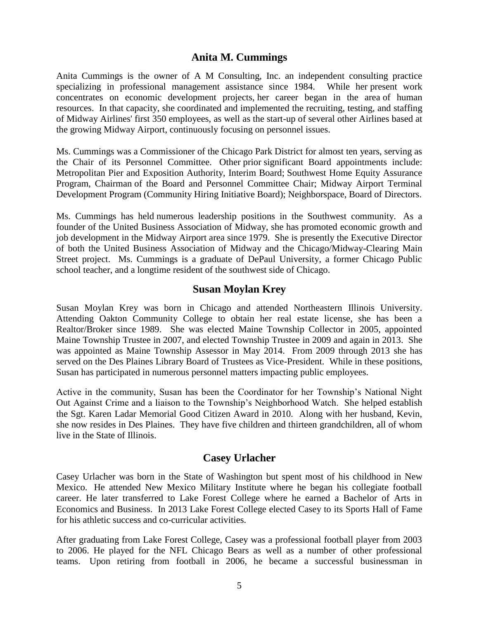#### **Anita M. Cummings**

Anita Cummings is the owner of A M Consulting, Inc. an independent consulting practice specializing in professional management assistance since 1984. While her present work concentrates on economic development projects, her career began in the area of human resources. In that capacity, she coordinated and implemented the recruiting, testing, and staffing of Midway Airlines' first 350 employees, as well as the start-up of several other Airlines based at the growing Midway Airport, continuously focusing on personnel issues.

Ms. Cummings was a Commissioner of the Chicago Park District for almost ten years, serving as the Chair of its Personnel Committee. Other prior significant Board appointments include: Metropolitan Pier and Exposition Authority, Interim Board; Southwest Home Equity Assurance Program, Chairman of the Board and Personnel Committee Chair; Midway Airport Terminal Development Program (Community Hiring Initiative Board); Neighborspace, Board of Directors.

Ms. Cummings has held numerous leadership positions in the Southwest community. As a founder of the United Business Association of Midway, she has promoted economic growth and job development in the Midway Airport area since 1979. She is presently the Executive Director of both the United Business Association of Midway and the Chicago/Midway-Clearing Main Street project. Ms. Cummings is a graduate of DePaul University, a former Chicago Public school teacher, and a longtime resident of the southwest side of Chicago.

#### **Susan Moylan Krey**

Susan Moylan Krey was born in Chicago and attended Northeastern Illinois University. Attending Oakton Community College to obtain her real estate license, she has been a Realtor/Broker since 1989. She was elected Maine Township Collector in 2005, appointed Maine Township Trustee in 2007, and elected Township Trustee in 2009 and again in 2013. She was appointed as Maine Township Assessor in May 2014. From 2009 through 2013 she has served on the Des Plaines Library Board of Trustees as Vice-President. While in these positions, Susan has participated in numerous personnel matters impacting public employees.

Active in the community, Susan has been the Coordinator for her Township's National Night Out Against Crime and a liaison to the Township's Neighborhood Watch. She helped establish the Sgt. Karen Ladar Memorial Good Citizen Award in 2010. Along with her husband, Kevin, she now resides in Des Plaines. They have five children and thirteen grandchildren, all of whom live in the State of Illinois.

#### **Casey Urlacher**

Casey Urlacher was born in the State of Washington but spent most of his childhood in New Mexico. He attended New Mexico Military Institute where he began his collegiate football career. He later transferred to Lake Forest College where he earned a Bachelor of Arts in Economics and Business. In 2013 Lake Forest College elected Casey to its Sports Hall of Fame for his athletic success and co-curricular activities.

After graduating from Lake Forest College, Casey was a professional football player from 2003 to 2006. He played for the NFL Chicago Bears as well as a number of other professional teams. Upon retiring from football in 2006, he became a successful businessman in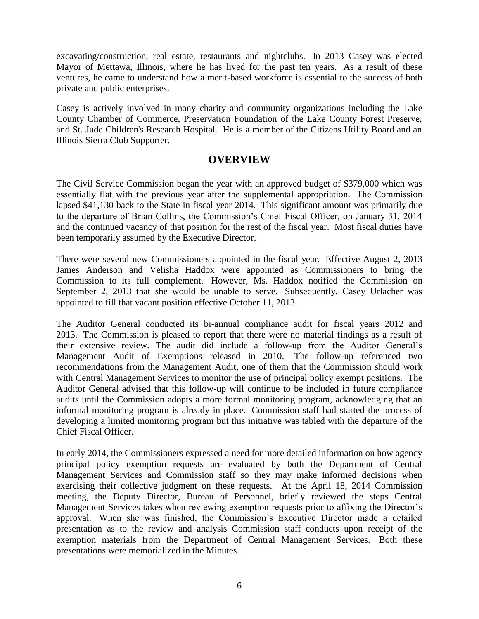excavating/construction, real estate, restaurants and nightclubs. In 2013 Casey was elected Mayor of Mettawa, Illinois, where he has lived for the past ten years. As a result of these ventures, he came to understand how a merit-based workforce is essential to the success of both private and public enterprises.

Casey is actively involved in many charity and community organizations including the Lake County Chamber of Commerce, Preservation Foundation of the Lake County Forest Preserve, and St. Jude Children's Research Hospital. He is a member of the Citizens Utility Board and an Illinois Sierra Club Supporter.

#### **OVERVIEW**

The Civil Service Commission began the year with an approved budget of \$379,000 which was essentially flat with the previous year after the supplemental appropriation. The Commission lapsed \$41,130 back to the State in fiscal year 2014. This significant amount was primarily due to the departure of Brian Collins, the Commission's Chief Fiscal Officer, on January 31, 2014 and the continued vacancy of that position for the rest of the fiscal year. Most fiscal duties have been temporarily assumed by the Executive Director.

There were several new Commissioners appointed in the fiscal year. Effective August 2, 2013 James Anderson and Velisha Haddox were appointed as Commissioners to bring the Commission to its full complement. However, Ms. Haddox notified the Commission on September 2, 2013 that she would be unable to serve. Subsequently, Casey Urlacher was appointed to fill that vacant position effective October 11, 2013.

The Auditor General conducted its bi-annual compliance audit for fiscal years 2012 and 2013. The Commission is pleased to report that there were no material findings as a result of their extensive review. The audit did include a follow-up from the Auditor General's Management Audit of Exemptions released in 2010. The follow-up referenced two recommendations from the Management Audit, one of them that the Commission should work with Central Management Services to monitor the use of principal policy exempt positions. The Auditor General advised that this follow-up will continue to be included in future compliance audits until the Commission adopts a more formal monitoring program, acknowledging that an informal monitoring program is already in place. Commission staff had started the process of developing a limited monitoring program but this initiative was tabled with the departure of the Chief Fiscal Officer.

In early 2014, the Commissioners expressed a need for more detailed information on how agency principal policy exemption requests are evaluated by both the Department of Central Management Services and Commission staff so they may make informed decisions when exercising their collective judgment on these requests. At the April 18, 2014 Commission meeting, the Deputy Director, Bureau of Personnel, briefly reviewed the steps Central Management Services takes when reviewing exemption requests prior to affixing the Director's approval. When she was finished, the Commission's Executive Director made a detailed presentation as to the review and analysis Commission staff conducts upon receipt of the exemption materials from the Department of Central Management Services. Both these presentations were memorialized in the Minutes.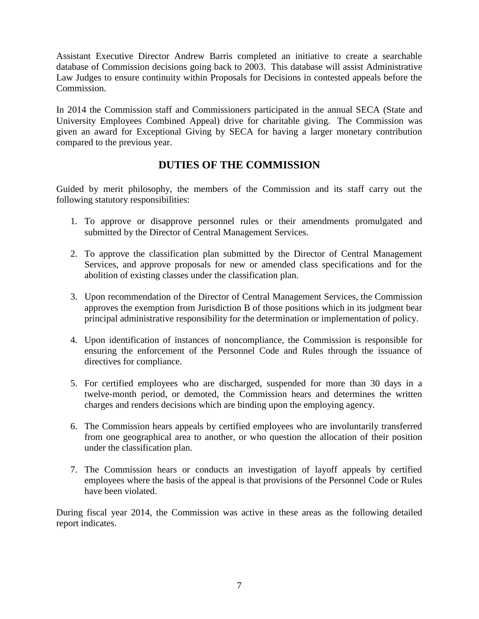Assistant Executive Director Andrew Barris completed an initiative to create a searchable database of Commission decisions going back to 2003. This database will assist Administrative Law Judges to ensure continuity within Proposals for Decisions in contested appeals before the Commission.

In 2014 the Commission staff and Commissioners participated in the annual SECA (State and University Employees Combined Appeal) drive for charitable giving. The Commission was given an award for Exceptional Giving by SECA for having a larger monetary contribution compared to the previous year.

## **DUTIES OF THE COMMISSION**

Guided by merit philosophy, the members of the Commission and its staff carry out the following statutory responsibilities:

- 1. To approve or disapprove personnel rules or their amendments promulgated and submitted by the Director of Central Management Services.
- 2. To approve the classification plan submitted by the Director of Central Management Services, and approve proposals for new or amended class specifications and for the abolition of existing classes under the classification plan.
- 3. Upon recommendation of the Director of Central Management Services, the Commission approves the exemption from Jurisdiction B of those positions which in its judgment bear principal administrative responsibility for the determination or implementation of policy.
- 4. Upon identification of instances of noncompliance, the Commission is responsible for ensuring the enforcement of the Personnel Code and Rules through the issuance of directives for compliance.
- 5. For certified employees who are discharged, suspended for more than 30 days in a twelve-month period, or demoted, the Commission hears and determines the written charges and renders decisions which are binding upon the employing agency.
- 6. The Commission hears appeals by certified employees who are involuntarily transferred from one geographical area to another, or who question the allocation of their position under the classification plan.
- 7. The Commission hears or conducts an investigation of layoff appeals by certified employees where the basis of the appeal is that provisions of the Personnel Code or Rules have been violated.

During fiscal year 2014, the Commission was active in these areas as the following detailed report indicates.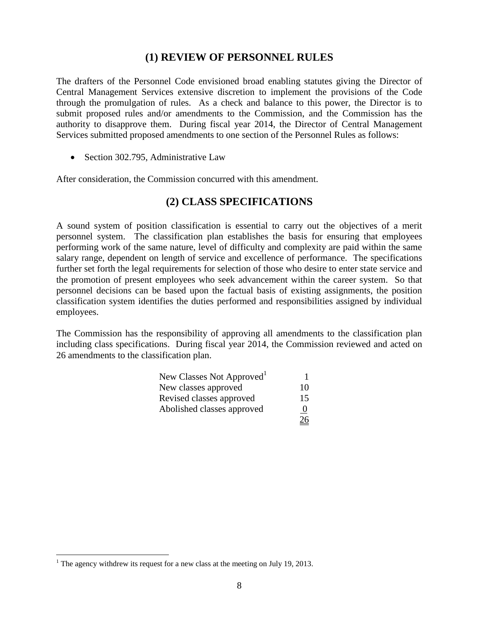#### **(1) REVIEW OF PERSONNEL RULES**

The drafters of the Personnel Code envisioned broad enabling statutes giving the Director of Central Management Services extensive discretion to implement the provisions of the Code through the promulgation of rules. As a check and balance to this power, the Director is to submit proposed rules and/or amendments to the Commission, and the Commission has the authority to disapprove them. During fiscal year 2014, the Director of Central Management Services submitted proposed amendments to one section of the Personnel Rules as follows:

• Section 302.795, Administrative Law

After consideration, the Commission concurred with this amendment.

### **(2) CLASS SPECIFICATIONS**

A sound system of position classification is essential to carry out the objectives of a merit personnel system. The classification plan establishes the basis for ensuring that employees performing work of the same nature, level of difficulty and complexity are paid within the same salary range, dependent on length of service and excellence of performance. The specifications further set forth the legal requirements for selection of those who desire to enter state service and the promotion of present employees who seek advancement within the career system. So that personnel decisions can be based upon the factual basis of existing assignments, the position classification system identifies the duties performed and responsibilities assigned by individual employees.

The Commission has the responsibility of approving all amendments to the classification plan including class specifications. During fiscal year 2014, the Commission reviewed and acted on 26 amendments to the classification plan.

| New Classes Not Approved <sup>1</sup> |                |
|---------------------------------------|----------------|
| New classes approved                  | 10             |
| Revised classes approved              | 15             |
| Abolished classes approved            | $\overline{0}$ |
|                                       | 26             |

 $\overline{a}$ 

<sup>&</sup>lt;sup>1</sup> The agency withdrew its request for a new class at the meeting on July 19, 2013.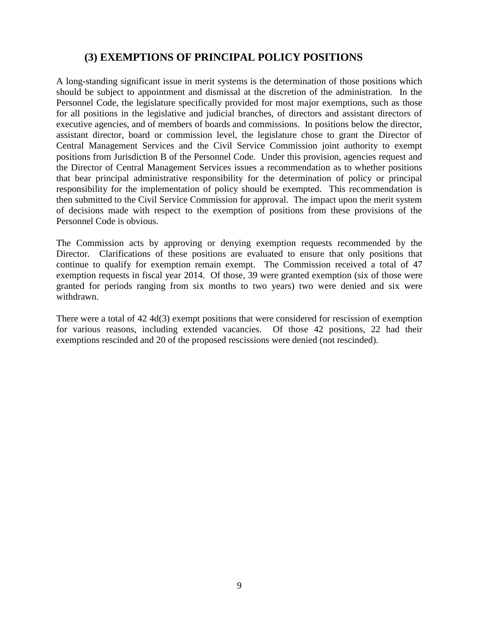## **(3) EXEMPTIONS OF PRINCIPAL POLICY POSITIONS**

A long-standing significant issue in merit systems is the determination of those positions which should be subject to appointment and dismissal at the discretion of the administration. In the Personnel Code, the legislature specifically provided for most major exemptions, such as those for all positions in the legislative and judicial branches, of directors and assistant directors of executive agencies, and of members of boards and commissions. In positions below the director, assistant director, board or commission level, the legislature chose to grant the Director of Central Management Services and the Civil Service Commission joint authority to exempt positions from Jurisdiction B of the Personnel Code. Under this provision, agencies request and the Director of Central Management Services issues a recommendation as to whether positions that bear principal administrative responsibility for the determination of policy or principal responsibility for the implementation of policy should be exempted. This recommendation is then submitted to the Civil Service Commission for approval. The impact upon the merit system of decisions made with respect to the exemption of positions from these provisions of the Personnel Code is obvious.

The Commission acts by approving or denying exemption requests recommended by the Director. Clarifications of these positions are evaluated to ensure that only positions that continue to qualify for exemption remain exempt. The Commission received a total of 47 exemption requests in fiscal year 2014. Of those, 39 were granted exemption (six of those were granted for periods ranging from six months to two years) two were denied and six were withdrawn.

There were a total of 42 4d(3) exempt positions that were considered for rescission of exemption for various reasons, including extended vacancies. Of those 42 positions, 22 had their exemptions rescinded and 20 of the proposed rescissions were denied (not rescinded).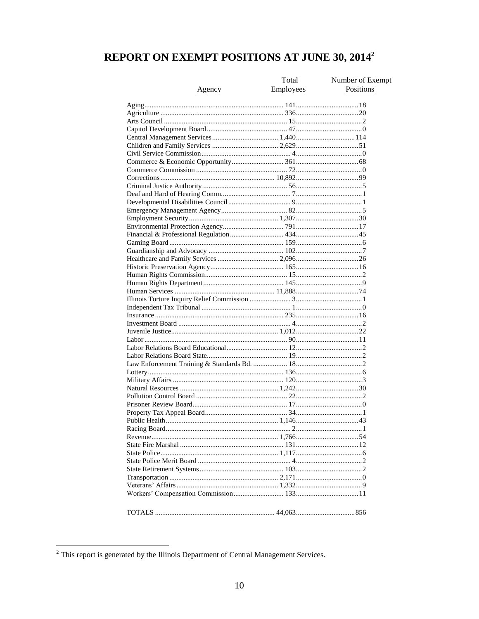# REPORT ON EXEMPT POSITIONS AT JUNE 30, 2014<sup>2</sup>

|               | Total            | Number of Exempt |
|---------------|------------------|------------------|
| <u>Agency</u> | <b>Employees</b> | Positions        |
|               |                  |                  |
|               |                  |                  |
|               |                  |                  |
|               |                  |                  |
|               |                  |                  |
|               |                  |                  |
|               |                  |                  |
|               |                  |                  |
|               |                  |                  |
|               |                  |                  |
|               |                  |                  |
|               |                  |                  |
|               |                  |                  |
|               |                  |                  |
|               |                  |                  |
|               |                  |                  |
|               |                  |                  |
|               |                  |                  |
|               |                  |                  |
|               |                  |                  |
|               |                  |                  |
|               |                  |                  |
|               |                  |                  |
|               |                  |                  |
|               |                  |                  |
|               |                  |                  |
|               |                  |                  |
|               |                  |                  |
|               |                  |                  |
|               |                  |                  |
|               |                  |                  |
|               |                  |                  |
|               |                  |                  |
|               |                  |                  |
|               |                  |                  |
|               |                  |                  |
|               |                  |                  |
|               |                  |                  |
|               |                  |                  |
|               |                  |                  |
|               |                  |                  |
|               |                  |                  |
|               |                  |                  |
|               |                  |                  |
|               |                  |                  |
|               |                  |                  |
|               |                  |                  |
|               |                  |                  |
|               |                  |                  |
|               |                  |                  |
|               |                  |                  |
|               |                  |                  |
|               |                  |                  |
|               |                  |                  |

 $2$  This report is generated by the Illinois Department of Central Management Services.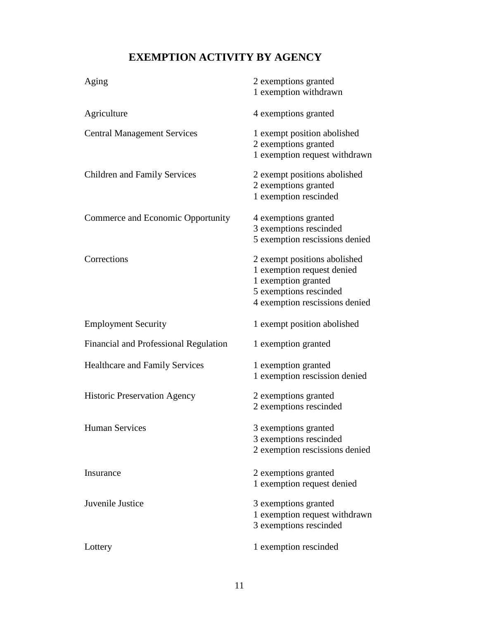# **EXEMPTION ACTIVITY BY AGENCY**

| Aging                                 | 2 exemptions granted<br>1 exemption withdrawn                                                                                                 |
|---------------------------------------|-----------------------------------------------------------------------------------------------------------------------------------------------|
| Agriculture                           | 4 exemptions granted                                                                                                                          |
| <b>Central Management Services</b>    | 1 exempt position abolished<br>2 exemptions granted<br>1 exemption request withdrawn                                                          |
| <b>Children and Family Services</b>   | 2 exempt positions abolished<br>2 exemptions granted<br>1 exemption rescinded                                                                 |
| Commerce and Economic Opportunity     | 4 exemptions granted<br>3 exemptions rescinded<br>5 exemption rescissions denied                                                              |
| Corrections                           | 2 exempt positions abolished<br>1 exemption request denied<br>1 exemption granted<br>5 exemptions rescinded<br>4 exemption rescissions denied |
| <b>Employment Security</b>            | 1 exempt position abolished                                                                                                                   |
| Financial and Professional Regulation | 1 exemption granted                                                                                                                           |
| <b>Healthcare and Family Services</b> | 1 exemption granted<br>1 exemption rescission denied                                                                                          |
| <b>Historic Preservation Agency</b>   | 2 exemptions granted<br>2 exemptions rescinded                                                                                                |
| <b>Human Services</b>                 | 3 exemptions granted<br>3 exemptions rescinded<br>2 exemption rescissions denied                                                              |
| Insurance                             | 2 exemptions granted<br>1 exemption request denied                                                                                            |
| Juvenile Justice                      | 3 exemptions granted<br>1 exemption request withdrawn<br>3 exemptions rescinded                                                               |
| Lottery                               | 1 exemption rescinded                                                                                                                         |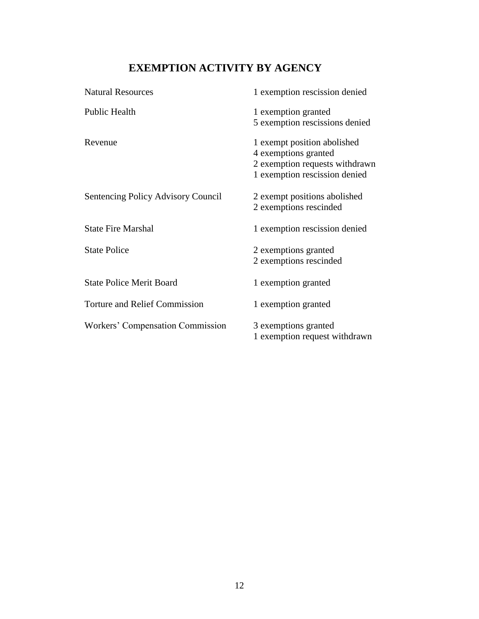## **EXEMPTION ACTIVITY BY AGENCY**

| <b>Natural Resources</b>             | 1 exemption rescission denied  |
|--------------------------------------|--------------------------------|
| Public Health                        | 1 exemption granted            |
|                                      | 5 exemption rescissions denied |
| Revenue                              | 1 exempt position abolished    |
|                                      | 4 exemptions granted           |
|                                      | 2 exemption requests withdrawn |
|                                      | 1 exemption rescission denied  |
| Sentencing Policy Advisory Council   | 2 exempt positions abolished   |
|                                      | 2 exemptions rescinded         |
| <b>State Fire Marshal</b>            | 1 exemption rescission denied  |
| <b>State Police</b>                  | 2 exemptions granted           |
|                                      | 2 exemptions rescinded         |
| <b>State Police Merit Board</b>      | 1 exemption granted            |
| <b>Torture and Relief Commission</b> | 1 exemption granted            |
| Workers' Compensation Commission     | 3 exemptions granted           |
|                                      | 1 exemption request withdrawn  |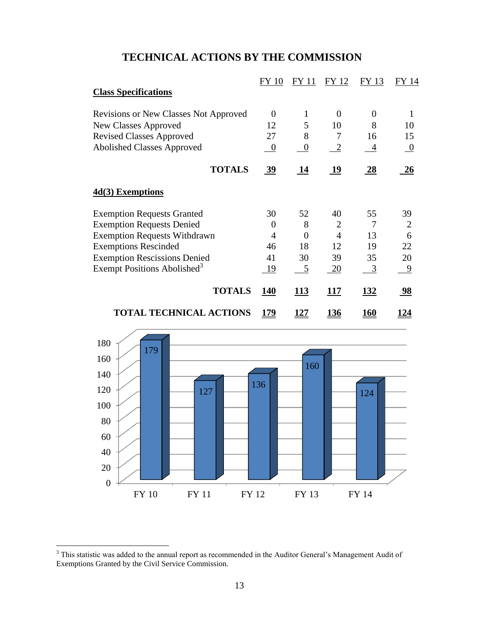## **TECHNICAL ACTIONS BY THE COMMISSION**

|                                              | <b>FY 10</b> | FY 11          | FY 12          | FY 13       | FY 14          |
|----------------------------------------------|--------------|----------------|----------------|-------------|----------------|
| <b>Class Specifications</b>                  |              |                |                |             |                |
| <b>Revisions or New Classes Not Approved</b> | $\Omega$     | 1              | $\theta$       | $\Omega$    | 1              |
| New Classes Approved                         | 12           | 5              | 10             | 8           | 10             |
| <b>Revised Classes Approved</b>              | 27           | 8              | 7              | 16          | 15             |
| <b>Abolished Classes Approved</b>            | $\theta$     | $\overline{0}$ | $\overline{2}$ | 4           | $\overline{0}$ |
| <b>TOTALS</b>                                | 39           | 14             | 19             | 28          | 26             |
| 4d(3) Exemptions                             |              |                |                |             |                |
| <b>Exemption Requests Granted</b>            | 30           | 52             | 40             | 55          | 39             |
| <b>Exemption Requests Denied</b>             | 0            | 8              | 2              | 7           | 2              |
| <b>Exemption Requests Withdrawn</b>          | 4            | $\Omega$       | $\overline{4}$ | 13          | 6              |
| <b>Exemptions Rescinded</b>                  | 46           | 18             | 12             | 19          | 22             |
| <b>Exemption Rescissions Denied</b>          | 41           | 30             | 39             | 35          | 20             |
| Exempt Positions Abolished <sup>3</sup>      | 19           | $\overline{5}$ | <u>20</u>      | 3           | 9              |
| <b>TOTALS</b>                                | <b>140</b>   | 113            | 117            | <u>132</u>  | 98             |
| <b>TOTAL TECHNICAL ACTIONS</b>               | <u> 179</u>  | <u> 127</u>    | <u>136</u>     | <u> 160</u> | <u> 124</u>    |



 $\overline{a}$ 

 $3$  This statistic was added to the annual report as recommended in the Auditor General's Management Audit of Exemptions Granted by the Civil Service Commission.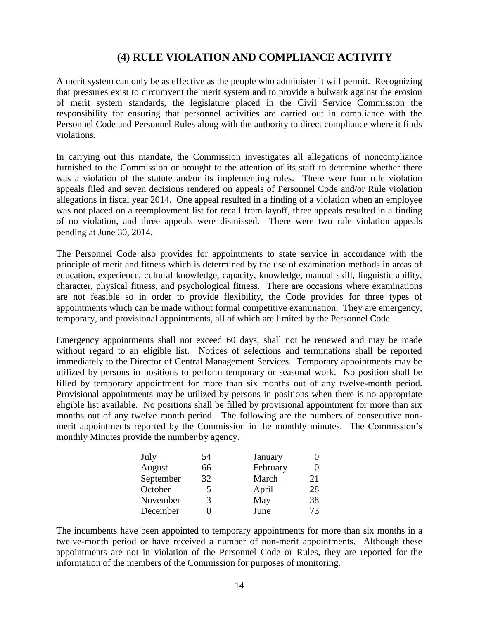## **(4) RULE VIOLATION AND COMPLIANCE ACTIVITY**

A merit system can only be as effective as the people who administer it will permit. Recognizing that pressures exist to circumvent the merit system and to provide a bulwark against the erosion of merit system standards, the legislature placed in the Civil Service Commission the responsibility for ensuring that personnel activities are carried out in compliance with the Personnel Code and Personnel Rules along with the authority to direct compliance where it finds violations.

In carrying out this mandate, the Commission investigates all allegations of noncompliance furnished to the Commission or brought to the attention of its staff to determine whether there was a violation of the statute and/or its implementing rules. There were four rule violation appeals filed and seven decisions rendered on appeals of Personnel Code and/or Rule violation allegations in fiscal year 2014. One appeal resulted in a finding of a violation when an employee was not placed on a reemployment list for recall from layoff, three appeals resulted in a finding of no violation, and three appeals were dismissed. There were two rule violation appeals pending at June 30, 2014.

The Personnel Code also provides for appointments to state service in accordance with the principle of merit and fitness which is determined by the use of examination methods in areas of education, experience, cultural knowledge, capacity, knowledge, manual skill, linguistic ability, character, physical fitness, and psychological fitness. There are occasions where examinations are not feasible so in order to provide flexibility, the Code provides for three types of appointments which can be made without formal competitive examination. They are emergency, temporary, and provisional appointments, all of which are limited by the Personnel Code.

Emergency appointments shall not exceed 60 days, shall not be renewed and may be made without regard to an eligible list. Notices of selections and terminations shall be reported immediately to the Director of Central Management Services. Temporary appointments may be utilized by persons in positions to perform temporary or seasonal work. No position shall be filled by temporary appointment for more than six months out of any twelve-month period. Provisional appointments may be utilized by persons in positions when there is no appropriate eligible list available. No positions shall be filled by provisional appointment for more than six months out of any twelve month period. The following are the numbers of consecutive nonmerit appointments reported by the Commission in the monthly minutes. The Commission's monthly Minutes provide the number by agency.

| July      | 54 | January  |                   |
|-----------|----|----------|-------------------|
| August    | 66 | February | $\mathbf{\Omega}$ |
| September | 32 | March    | 21                |
| October   | 5  | April    | 28                |
| November  | 3  | May      | 38                |
| December  | 1  | June     | 73                |

The incumbents have been appointed to temporary appointments for more than six months in a twelve-month period or have received a number of non-merit appointments. Although these appointments are not in violation of the Personnel Code or Rules, they are reported for the information of the members of the Commission for purposes of monitoring.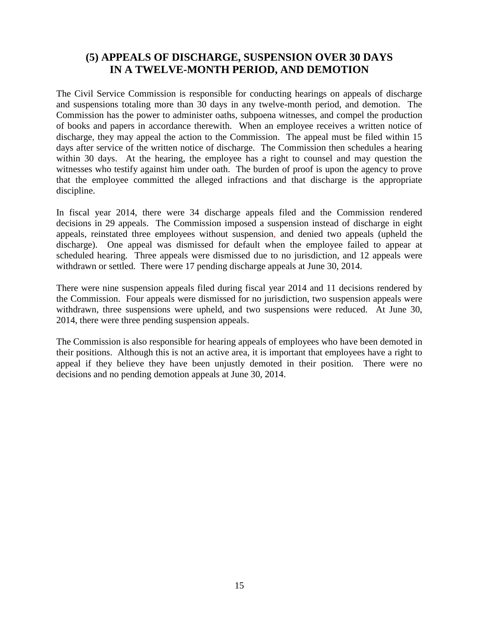## **(5) APPEALS OF DISCHARGE, SUSPENSION OVER 30 DAYS IN A TWELVE-MONTH PERIOD, AND DEMOTION**

The Civil Service Commission is responsible for conducting hearings on appeals of discharge and suspensions totaling more than 30 days in any twelve-month period, and demotion. The Commission has the power to administer oaths, subpoena witnesses, and compel the production of books and papers in accordance therewith. When an employee receives a written notice of discharge, they may appeal the action to the Commission. The appeal must be filed within 15 days after service of the written notice of discharge. The Commission then schedules a hearing within 30 days. At the hearing, the employee has a right to counsel and may question the witnesses who testify against him under oath. The burden of proof is upon the agency to prove that the employee committed the alleged infractions and that discharge is the appropriate discipline.

In fiscal year 2014, there were 34 discharge appeals filed and the Commission rendered decisions in 29 appeals. The Commission imposed a suspension instead of discharge in eight appeals, reinstated three employees without suspension, and denied two appeals (upheld the discharge). One appeal was dismissed for default when the employee failed to appear at scheduled hearing. Three appeals were dismissed due to no jurisdiction, and 12 appeals were withdrawn or settled. There were 17 pending discharge appeals at June 30, 2014.

There were nine suspension appeals filed during fiscal year 2014 and 11 decisions rendered by the Commission. Four appeals were dismissed for no jurisdiction, two suspension appeals were withdrawn, three suspensions were upheld, and two suspensions were reduced. At June 30, 2014, there were three pending suspension appeals.

The Commission is also responsible for hearing appeals of employees who have been demoted in their positions. Although this is not an active area, it is important that employees have a right to appeal if they believe they have been unjustly demoted in their position. There were no decisions and no pending demotion appeals at June 30, 2014.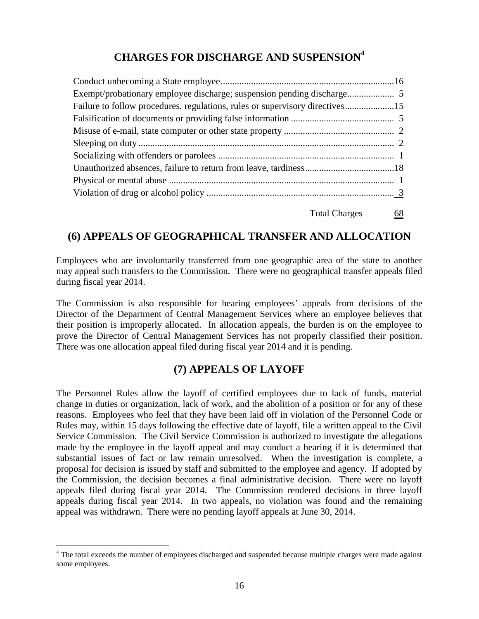## **CHARGES FOR DISCHARGE AND SUSPENSION<sup>4</sup>**

| Failure to follow procedures, regulations, rules or supervisory directives15 |  |
|------------------------------------------------------------------------------|--|
|                                                                              |  |
|                                                                              |  |
|                                                                              |  |
|                                                                              |  |
|                                                                              |  |
|                                                                              |  |
|                                                                              |  |
|                                                                              |  |

#### Total Charges 68

## **(6) APPEALS OF GEOGRAPHICAL TRANSFER AND ALLOCATION**

Employees who are involuntarily transferred from one geographic area of the state to another may appeal such transfers to the Commission. There were no geographical transfer appeals filed during fiscal year 2014.

The Commission is also responsible for hearing employees' appeals from decisions of the Director of the Department of Central Management Services where an employee believes that their position is improperly allocated. In allocation appeals, the burden is on the employee to prove the Director of Central Management Services has not properly classified their position. There was one allocation appeal filed during fiscal year 2014 and it is pending.

## **(7) APPEALS OF LAYOFF**

The Personnel Rules allow the layoff of certified employees due to lack of funds, material change in duties or organization, lack of work, and the abolition of a position or for any of these reasons. Employees who feel that they have been laid off in violation of the Personnel Code or Rules may, within 15 days following the effective date of layoff, file a written appeal to the Civil Service Commission. The Civil Service Commission is authorized to investigate the allegations made by the employee in the layoff appeal and may conduct a hearing if it is determined that substantial issues of fact or law remain unresolved. When the investigation is complete, a proposal for decision is issued by staff and submitted to the employee and agency. If adopted by the Commission, the decision becomes a final administrative decision. There were no layoff appeals filed during fiscal year 2014. The Commission rendered decisions in three layoff appeals during fiscal year 2014. In two appeals, no violation was found and the remaining appeal was withdrawn. There were no pending layoff appeals at June 30, 2014.

 $\overline{a}$ 

<sup>&</sup>lt;sup>4</sup> The total exceeds the number of employees discharged and suspended because multiple charges were made against some employees.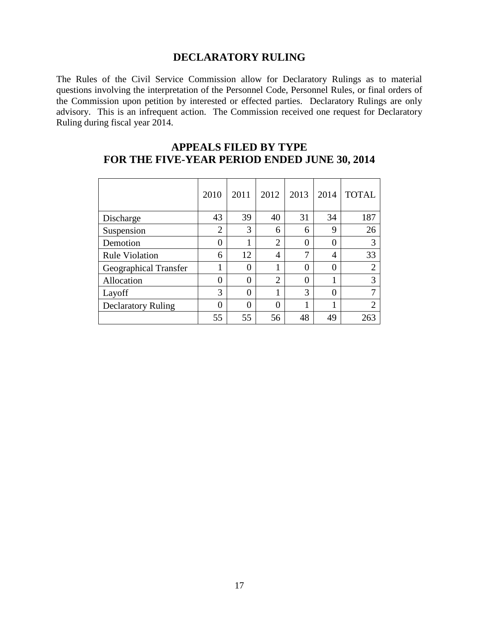#### **DECLARATORY RULING**

The Rules of the Civil Service Commission allow for Declaratory Rulings as to material questions involving the interpretation of the Personnel Code, Personnel Rules, or final orders of the Commission upon petition by interested or effected parties. Declaratory Rulings are only advisory. This is an infrequent action. The Commission received one request for Declaratory Ruling during fiscal year 2014.

|                              | 2010           | 2011 | 2012           | 2013     | 2014           | <b>TOTAL</b>   |
|------------------------------|----------------|------|----------------|----------|----------------|----------------|
| Discharge                    | 43             | 39   | 40             | 31       | 34             | 187            |
| Suspension                   | $\overline{2}$ | 3    | 6              | 6        | 9              | 26             |
| Demotion                     | $\overline{0}$ |      | $\overline{2}$ | 0        | $\Omega$       | 3              |
| <b>Rule Violation</b>        | 6              | 12   | 4              | 7        | $\overline{4}$ | 33             |
| <b>Geographical Transfer</b> | 1              | 0    |                | 0        | 0              | $\overline{2}$ |
| Allocation                   | $\overline{0}$ | 0    | $\overline{2}$ | $\Omega$ |                | 3              |
| Layoff                       | 3              | 0    | 1              | 3        | 0              | 7              |
| <b>Declaratory Ruling</b>    | 0              | 0    | 0              |          | 1              | $\mathfrak{D}$ |
|                              | 55             | 55   | 56             | 48       | 49             |                |

### **APPEALS FILED BY TYPE FOR THE FIVE-YEAR PERIOD ENDED JUNE 30, 2014**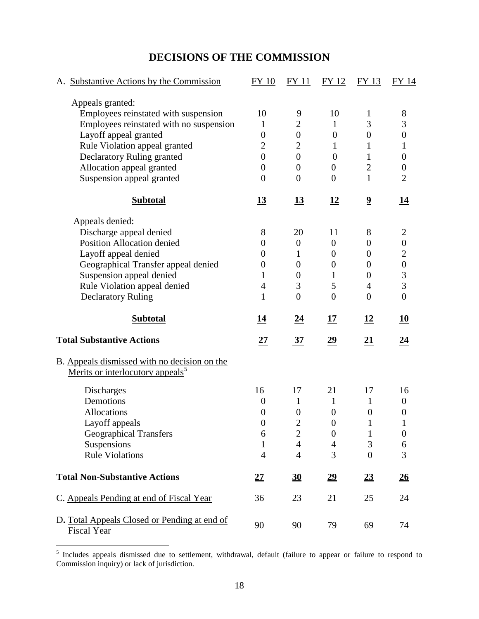## **DECISIONS OF THE COMMISSION**

| A. Substantive Actions by the Commission                                                     | FY 10            | FY 11            | FY 12                     | <b>FY 13</b>            | FY 14                        |
|----------------------------------------------------------------------------------------------|------------------|------------------|---------------------------|-------------------------|------------------------------|
| Appeals granted:                                                                             |                  |                  |                           |                         |                              |
| Employees reinstated with suspension                                                         | 10               | 9                | 10                        | 1                       | $8\,$                        |
| Employees reinstated with no suspension                                                      | 1                | $\overline{c}$   | $\mathbf{1}$              | 3                       | 3                            |
| Layoff appeal granted                                                                        | $\boldsymbol{0}$ | $\boldsymbol{0}$ | $\boldsymbol{0}$          | $\boldsymbol{0}$        | $\boldsymbol{0}$             |
| Rule Violation appeal granted                                                                | $\overline{2}$   | $\overline{2}$   | 1                         | 1                       | 1                            |
| Declaratory Ruling granted                                                                   | $\overline{0}$   | $\boldsymbol{0}$ | $\overline{0}$            | $\mathbf{1}$            | $\boldsymbol{0}$             |
| Allocation appeal granted                                                                    | $\overline{0}$   | $\boldsymbol{0}$ | $\boldsymbol{0}$          | $\overline{2}$          | $\boldsymbol{0}$             |
| Suspension appeal granted                                                                    | $\overline{0}$   | $\overline{0}$   | $\overline{0}$            | $\mathbf{1}$            | $\overline{2}$               |
| <b>Subtotal</b>                                                                              | <u>13</u>        | <u>13</u>        | <u>12</u>                 | $\overline{\mathbf{2}}$ | 14                           |
| Appeals denied:                                                                              |                  |                  |                           |                         |                              |
| Discharge appeal denied                                                                      | 8                | 20               | 11                        | 8                       | $\overline{c}$               |
| <b>Position Allocation denied</b>                                                            | $\overline{0}$   | $\boldsymbol{0}$ | $\boldsymbol{0}$          | $\boldsymbol{0}$        | $\boldsymbol{0}$             |
| Layoff appeal denied                                                                         | 0                | 1                | $\boldsymbol{0}$          | $\boldsymbol{0}$        | $\boldsymbol{2}$             |
| Geographical Transfer appeal denied                                                          | 0                | $\boldsymbol{0}$ | $\boldsymbol{0}$          | $\boldsymbol{0}$        | $\boldsymbol{0}$             |
| Suspension appeal denied                                                                     | 1                | $\boldsymbol{0}$ | 1                         | $\boldsymbol{0}$        | 3                            |
| Rule Violation appeal denied                                                                 | 4                | 3                | 5                         | $\overline{4}$          | 3                            |
| <b>Declaratory Ruling</b>                                                                    | 1                | $\overline{0}$   | $\overline{0}$            | $\overline{0}$          | $\boldsymbol{0}$             |
|                                                                                              |                  |                  |                           |                         |                              |
| <b>Subtotal</b>                                                                              | <u> 14</u>       | <u>24</u>        | 17                        | <u>12</u>               | <u>10</u>                    |
| <b>Total Substantive Actions</b>                                                             | <u> 27</u>       | <u>37</u>        | <u>29</u>                 | <u>21</u>               | <u>24</u>                    |
|                                                                                              |                  |                  |                           |                         |                              |
| B. Appeals dismissed with no decision on the<br>Merits or interlocutory appeals <sup>3</sup> |                  |                  |                           |                         |                              |
| <b>Discharges</b>                                                                            | 16               | 17               | 21                        | 17                      | 16                           |
| Demotions                                                                                    | $\boldsymbol{0}$ | $\mathbf{1}$     | $\mathbf{1}$              | 1                       | $\boldsymbol{0}$             |
| Allocations                                                                                  | 0                | $\boldsymbol{0}$ | $\boldsymbol{0}$          | $\boldsymbol{0}$        | 0                            |
| Layoff appeals                                                                               | $\overline{0}$   | $\overline{2}$   | $\overline{0}$            |                         |                              |
| <b>Geographical Transfers</b>                                                                | 6                | $\overline{2}$   | $\boldsymbol{0}$          | $\mathbf{1}$            | $\boldsymbol{0}$             |
| Suspensions                                                                                  | 1                | $\overline{4}$   | $\overline{4}$            | $\mathfrak{Z}$          | 6                            |
| <b>Rule Violations</b>                                                                       | $\overline{4}$   | $\overline{4}$   | 3                         | $\overline{0}$          | 3                            |
| <b>Total Non-Substantive Actions</b>                                                         | 27               | $\underline{30}$ | $\underline{\mathbf{29}}$ | $\underline{23}$        | $\underline{\underline{26}}$ |
| C. Appeals Pending at end of Fiscal Year                                                     | 36               | 23               | 21                        | 25                      | 24                           |

 5 Includes appeals dismissed due to settlement, withdrawal, default (failure to appear or failure to respond to Commission inquiry) or lack of jurisdiction.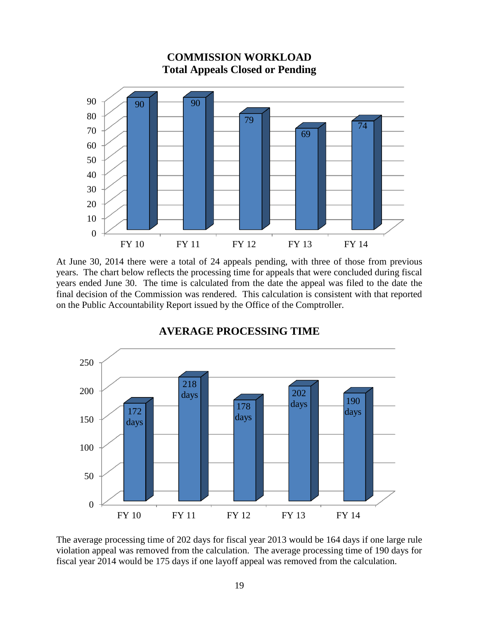

At June 30, 2014 there were a total of 24 appeals pending, with three of those from previous years. The chart below reflects the processing time for appeals that were concluded during fiscal years ended June 30. The time is calculated from the date the appeal was filed to the date the final decision of the Commission was rendered. This calculation is consistent with that reported on the Public Accountability Report issued by the Office of the Comptroller.



#### **AVERAGE PROCESSING TIME**

The average processing time of 202 days for fiscal year 2013 would be 164 days if one large rule violation appeal was removed from the calculation. The average processing time of 190 days for fiscal year 2014 would be 175 days if one layoff appeal was removed from the calculation.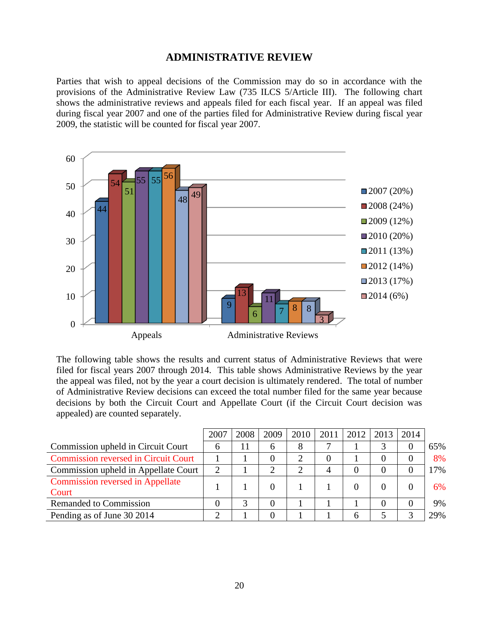#### **ADMINISTRATIVE REVIEW**

Parties that wish to appeal decisions of the Commission may do so in accordance with the provisions of the Administrative Review Law (735 ILCS 5/Article III). The following chart shows the administrative reviews and appeals filed for each fiscal year. If an appeal was filed during fiscal year 2007 and one of the parties filed for Administrative Review during fiscal year 2009, the statistic will be counted for fiscal year 2007.



The following table shows the results and current status of Administrative Reviews that were filed for fiscal years 2007 through 2014. This table shows Administrative Reviews by the year the appeal was filed, not by the year a court decision is ultimately rendered. The total of number of Administrative Review decisions can exceed the total number filed for the same year because decisions by both the Circuit Court and Appellate Court (if the Circuit Court decision was appealed) are counted separately.

|                                             | 2007 | 2008 | 2009     | 2010 | 2011 | 2012 | 2013 | 2014 |     |
|---------------------------------------------|------|------|----------|------|------|------|------|------|-----|
| Commission upheld in Circuit Court          | 6    |      | 6        | 8    |      |      |      | 0    | 65% |
| <b>Commission reversed in Circuit Court</b> |      |      |          |      |      |      |      | 0    | 8%  |
| Commission upheld in Appellate Court        | ∍    |      |          |      |      |      |      | 0    | 17% |
| <b>Commission reversed in Appellate</b>     |      |      | 0        |      |      |      |      | 0    | 6%  |
| Court                                       |      |      |          |      |      |      |      |      |     |
| Remanded to Commission                      |      | 2    | $\Omega$ |      |      |      |      | 0    | 9%  |
| Pending as of June 30 2014                  |      |      |          |      |      | 6    |      | ⌒    | 29% |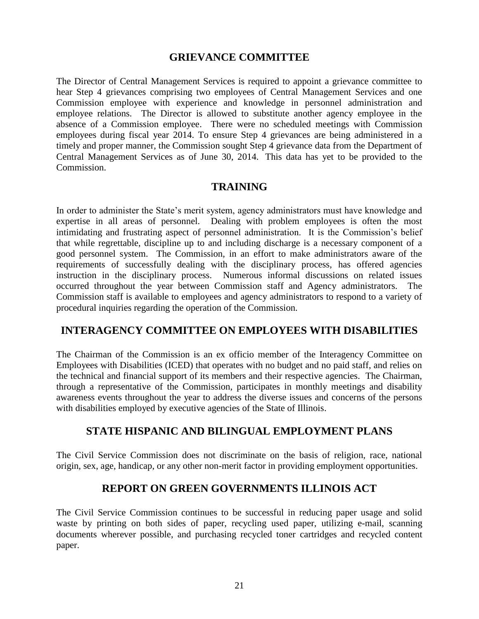#### **GRIEVANCE COMMITTEE**

The Director of Central Management Services is required to appoint a grievance committee to hear Step 4 grievances comprising two employees of Central Management Services and one Commission employee with experience and knowledge in personnel administration and employee relations. The Director is allowed to substitute another agency employee in the absence of a Commission employee. There were no scheduled meetings with Commission employees during fiscal year 2014. To ensure Step 4 grievances are being administered in a timely and proper manner, the Commission sought Step 4 grievance data from the Department of Central Management Services as of June 30, 2014. This data has yet to be provided to the Commission.

#### **TRAINING**

In order to administer the State's merit system, agency administrators must have knowledge and expertise in all areas of personnel. Dealing with problem employees is often the most intimidating and frustrating aspect of personnel administration. It is the Commission's belief that while regrettable, discipline up to and including discharge is a necessary component of a good personnel system. The Commission, in an effort to make administrators aware of the requirements of successfully dealing with the disciplinary process, has offered agencies instruction in the disciplinary process. Numerous informal discussions on related issues occurred throughout the year between Commission staff and Agency administrators. The Commission staff is available to employees and agency administrators to respond to a variety of procedural inquiries regarding the operation of the Commission.

## **INTERAGENCY COMMITTEE ON EMPLOYEES WITH DISABILITIES**

The Chairman of the Commission is an ex officio member of the Interagency Committee on Employees with Disabilities (ICED) that operates with no budget and no paid staff, and relies on the technical and financial support of its members and their respective agencies. The Chairman, through a representative of the Commission, participates in monthly meetings and disability awareness events throughout the year to address the diverse issues and concerns of the persons with disabilities employed by executive agencies of the State of Illinois.

## **STATE HISPANIC AND BILINGUAL EMPLOYMENT PLANS**

The Civil Service Commission does not discriminate on the basis of religion, race, national origin, sex, age, handicap, or any other non-merit factor in providing employment opportunities.

## **REPORT ON GREEN GOVERNMENTS ILLINOIS ACT**

The Civil Service Commission continues to be successful in reducing paper usage and solid waste by printing on both sides of paper, recycling used paper, utilizing e-mail, scanning documents wherever possible, and purchasing recycled toner cartridges and recycled content paper.